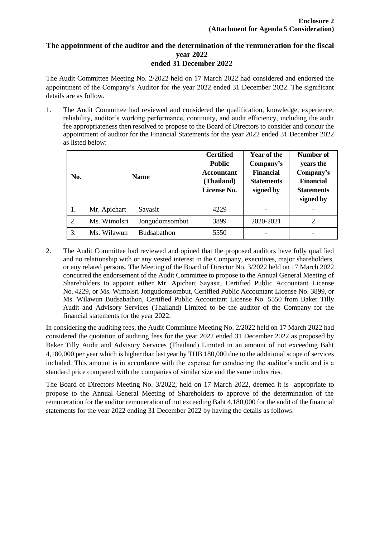## **The appointment of the auditor and the determination of the remuneration for the fiscal year 2022 ended 31 December 2022**

The Audit Committee Meeting No. 2/2022 held on 17 March 2022 had considered and endorsed the appointment of the Company's Auditor for the year 2022 ended 31 December 2022. The significant details are as follow.

1. The Audit Committee had reviewed and considered the qualification, knowledge, experience, reliability, auditor's working performance, continuity, and audit efficiency, including the audit fee appropriateness then resolved to propose to the Board of Directors to consider and concur the appointment of auditor for the Financial Statements for the year 2022 ended 31 December 2022 as listed below:

| No. | <b>Name</b>                    | <b>Certified</b><br><b>Public</b><br><b>Accountant</b><br>(Thailand)<br>License No. | <b>Year of the</b><br>Company's<br><b>Financial</b><br><b>Statements</b><br>signed by | Number of<br>years the<br>Company's<br><b>Financial</b><br><b>Statements</b><br>signed by |
|-----|--------------------------------|-------------------------------------------------------------------------------------|---------------------------------------------------------------------------------------|-------------------------------------------------------------------------------------------|
| 1.  | Mr. Apichart<br>Sayasit        | 4229                                                                                |                                                                                       |                                                                                           |
| 2.  | Ms. Wimolsri<br>Jongudomsombut | 3899                                                                                | 2020-2021                                                                             | 2                                                                                         |
| 3.  | Ms. Wilawun<br>Budsabathon     | 5550                                                                                |                                                                                       |                                                                                           |

2. The Audit Committee had reviewed and opined that the proposed auditors have fully qualified and no relationship with or any vested interest in the Company, executives, major shareholders, or any related persons. The Meeting of the Board of Director No. 3/2022 held on 17 March 2022 concurred the endorsement of the Audit Committee to propose to the Annual General Meeting of Shareholders to appoint either Mr. Apichart Sayasit, Certified Public Accountant License No. 4229, or Ms. Wimolsri Jongudomsombut, Certified Public Accountant License No. 3899, or Ms. Wilawun Budsabathon, Certified Public Accountant License No. 5550 from Baker Tilly Audit and Advisory Services (Thailand) Limited to be the auditor of the Company for the financial statements for the year 2022.

In considering the auditing fees, the Audit Committee Meeting No. 2/2022 held on 17 March 2022 had considered the quotation of auditing fees for the year 2022 ended 31 December 2022 as proposed by Baker Tilly Audit and Advisory Services (Thailand) Limited in an amount of not exceeding Baht 4,180,000 per year which is higher than last year by THB 180,000 due to the additional scope of services included. This amount is in accordance with the expense for conducting the auditor's audit and is a standard price compared with the companies of similar size and the same industries.

The Board of Directors Meeting No. 3/2022, held on 17 March 2022, deemed it is appropriate to propose to the Annual General Meeting of Shareholders to approve of the determination of the remuneration for the auditor remuneration of not exceeding Baht 4,180,000 for the audit of the financial statements for the year 2022 ending 31 December 2022 by having the details as follows.